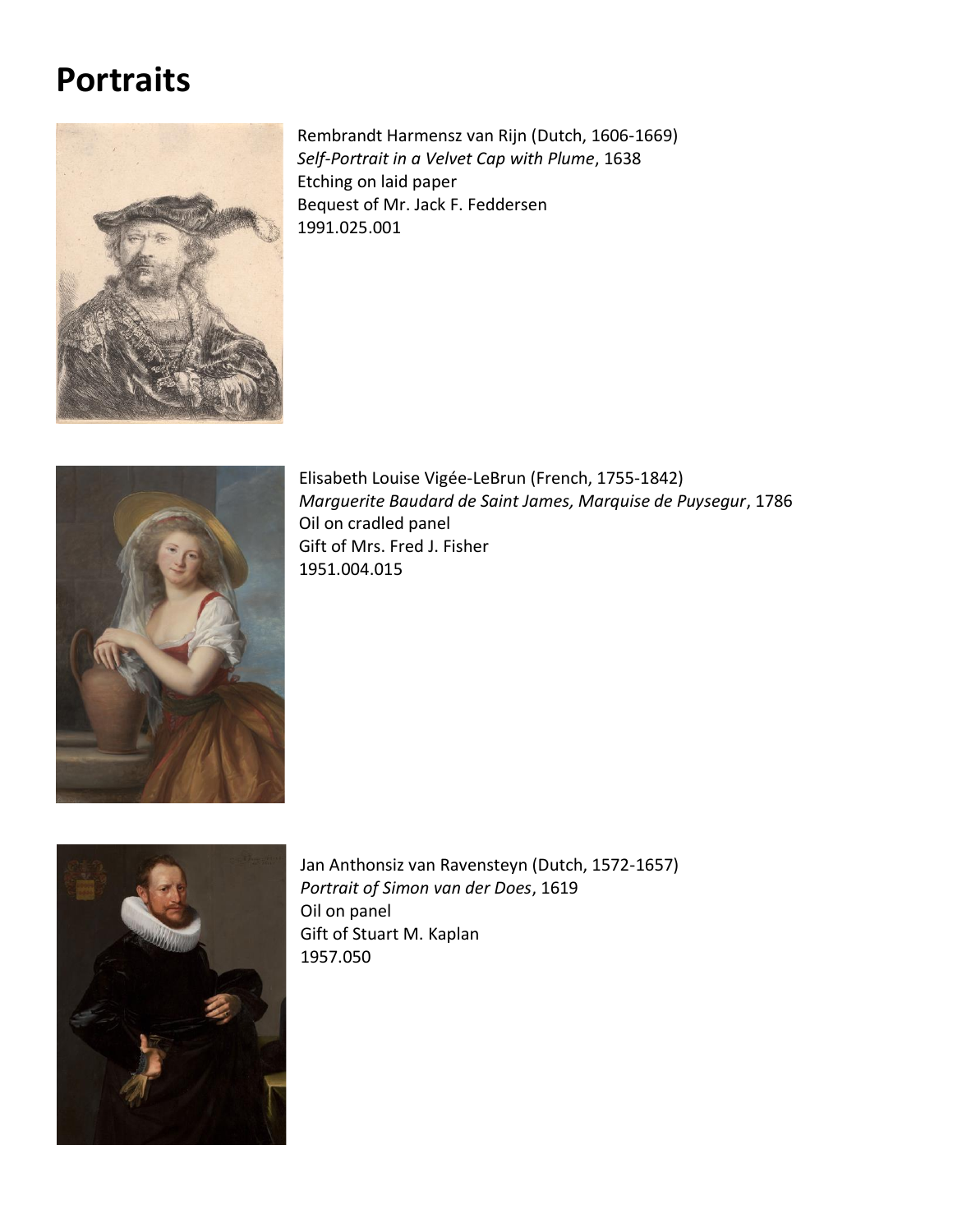## **Portraits**



Rembrandt Harmensz van Rijn (Dutch, 1606-1669) *Self-Portrait in a Velvet Cap with Plume*, 1638 Etching on laid paper Bequest of Mr. Jack F. Feddersen 1991.025.001



Elisabeth Louise Vigée-LeBrun (French, 1755-1842) *Marguerite Baudard de Saint James, Marquise de Puysegur*, 1786 Oil on cradled panel Gift of Mrs. Fred J. Fisher 1951.004.015



Jan Anthonsiz van Ravensteyn (Dutch, 1572-1657) *Portrait of Simon van der Does*, 1619 Oil on panel Gift of Stuart M. Kaplan 1957.050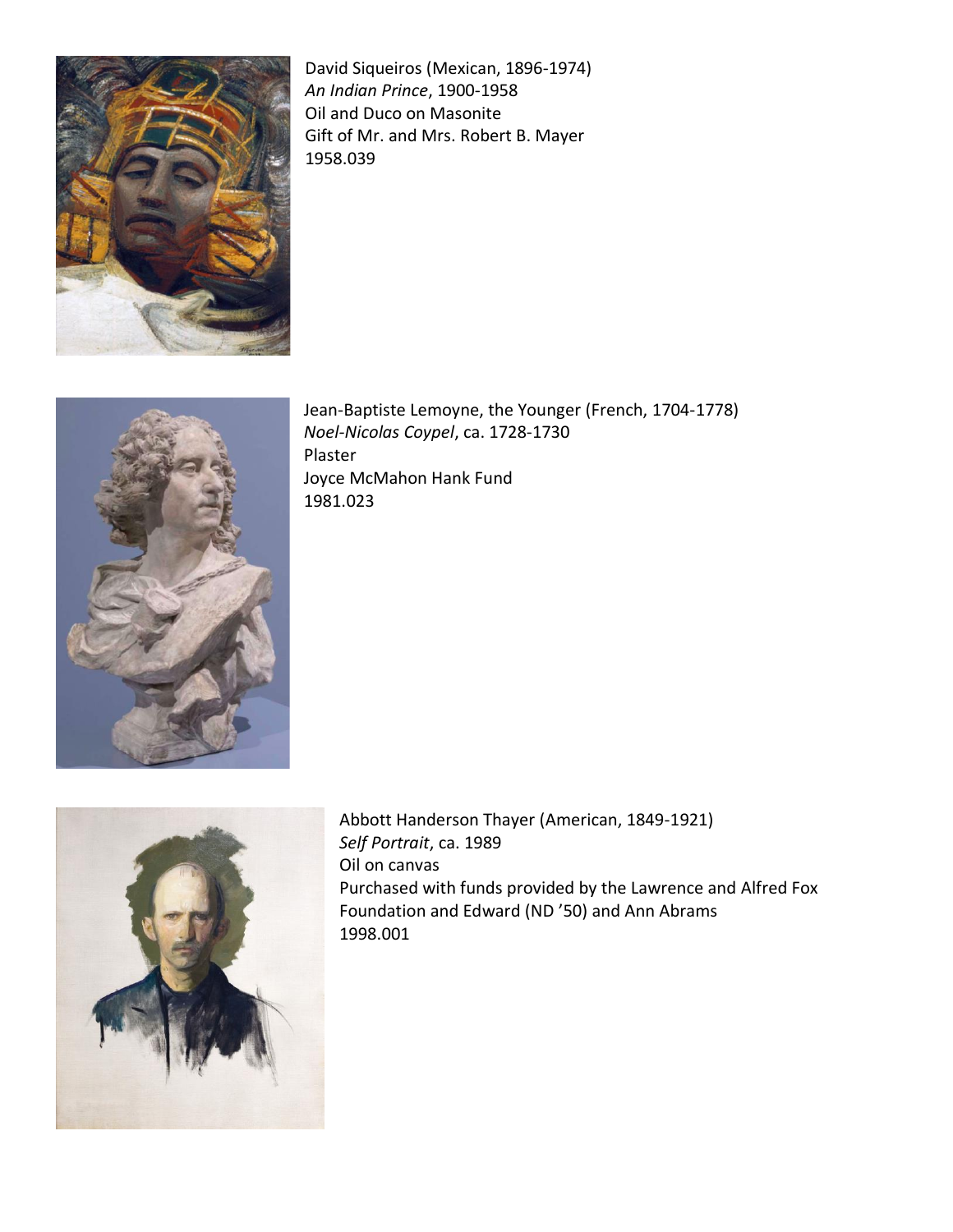

David Siqueiros (Mexican, 1896-1974) *An Indian Prince*, 1900-1958 Oil and Duco on Masonite Gift of Mr. and Mrs. Robert B. Mayer 1958.039



Jean-Baptiste Lemoyne, the Younger (French, 1704-1778) *Noel-Nicolas Coypel*, ca. 1728-1730 Plaster Joyce McMahon Hank Fund 1981.023



Abbott Handerson Thayer (American, 1849-1921) *Self Portrait*, ca. 1989 Oil on canvas Purchased with funds provided by the Lawrence and Alfred Fox Foundation and Edward (ND '50) and Ann Abrams 1998.001